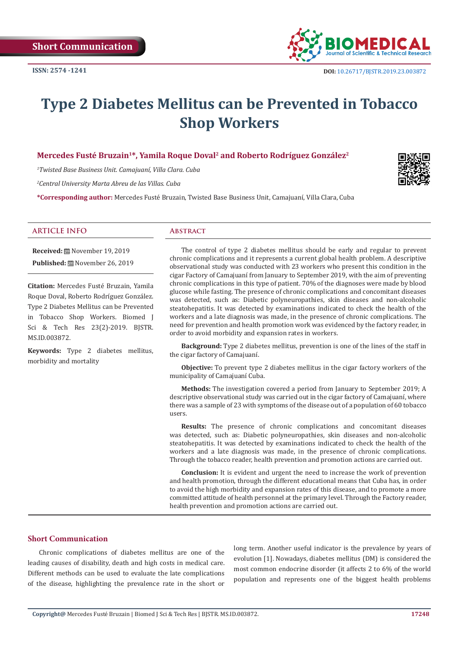

# **Type 2 Diabetes Mellitus can be Prevented in Tobacco Shop Workers**

# Mercedes Fusté Bruzain<sup>1\*</sup>, Yamila Roque Doval<sup>2</sup> and Roberto Rodríguez González<sup>2</sup>

*1 Twisted Base Business Unit. Camajuaní, Villa Clara. Cuba*

*2 Central University Marta Abreu de las Villas. Cuba*

**\*Corresponding author:** Mercedes Fusté Bruzain, Twisted Base Business Unit, Camajuaní, Villa Clara, Cuba

#### **ARTICLE INFO Abstract**

**Received:** November 19, 2019 **Published:** November 26, 2019

**Citation:** Mercedes Fusté Bruzain, Yamila Roque Doval, Roberto Rodríguez González. Type 2 Diabetes Mellitus can be Prevented in Tobacco Shop Workers. Biomed J Sci & Tech Res 23(2)-2019. BJSTR. MS.ID.003872.

**Keywords:** Type 2 diabetes mellitus, morbidity and mortality

The control of type 2 diabetes mellitus should be early and regular to prevent chronic complications and it represents a current global health problem. A descriptive observational study was conducted with 23 workers who present this condition in the cigar Factory of Camajuaní from January to September 2019, with the aim of preventing chronic complications in this type of patient. 70% of the diagnoses were made by blood glucose while fasting. The presence of chronic complications and concomitant diseases was detected, such as: Diabetic polyneuropathies, skin diseases and non-alcoholic steatohepatitis. It was detected by examinations indicated to check the health of the workers and a late diagnosis was made, in the presence of chronic complications. The need for prevention and health promotion work was evidenced by the factory reader, in order to avoid morbidity and expansion rates in workers.

**Background:** Type 2 diabetes mellitus, prevention is one of the lines of the staff in the cigar factory of Camajuaní.

**Objective:** To prevent type 2 diabetes mellitus in the cigar factory workers of the municipality of Camajuaní Cuba.

**Methods:** The investigation covered a period from January to September 2019; A descriptive observational study was carried out in the cigar factory of Camajuaní, where there was a sample of 23 with symptoms of the disease out of a population of 60 tobacco users.

**Results:** The presence of chronic complications and concomitant diseases was detected, such as: Diabetic polyneuropathies, skin diseases and non-alcoholic steatohepatitis. It was detected by examinations indicated to check the health of the workers and a late diagnosis was made, in the presence of chronic complications. Through the tobacco reader, health prevention and promotion actions are carried out.

**Conclusion:** It is evident and urgent the need to increase the work of prevention and health promotion, through the different educational means that Cuba has, in order to avoid the high morbidity and expansion rates of this disease, and to promote a more committed attitude of health personnel at the primary level. Through the Factory reader, health prevention and promotion actions are carried out.

### **Short Communication**

Chronic complications of diabetes mellitus are one of the leading causes of disability, death and high costs in medical care. Different methods can be used to evaluate the late complications of the disease, highlighting the prevalence rate in the short or

long term. Another useful indicator is the prevalence by years of evolution [1]. Nowadays, diabetes mellitus (DM) is considered the most common endocrine disorder (it affects 2 to 6% of the world population and represents one of the biggest health problems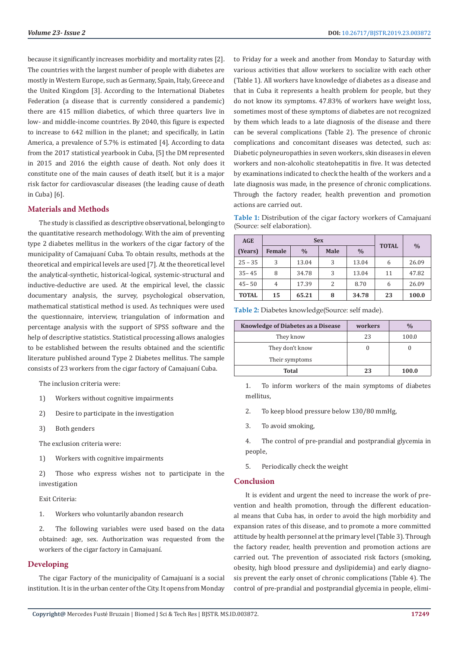because it significantly increases morbidity and mortality rates [2]. The countries with the largest number of people with diabetes are mostly in Western Europe, such as Germany, Spain, Italy, Greece and the United Kingdom [3]. According to the International Diabetes Federation (a disease that is currently considered a pandemic) there are 415 million diabetics, of which three quarters live in low- and middle-income countries. By 2040, this figure is expected to increase to 642 million in the planet; and specifically, in Latin America, a prevalence of 5.7% is estimated [4]. According to data from the 2017 statistical yearbook in Cuba, [5] the DM represented in 2015 and 2016 the eighth cause of death. Not only does it constitute one of the main causes of death itself, but it is a major risk factor for cardiovascular diseases (the leading cause of death in Cuba) [6].

## **Materials and Methods**

The study is classified as descriptive observational, belonging to the quantitative research methodology. With the aim of preventing type 2 diabetes mellitus in the workers of the cigar factory of the municipality of Camajuaní Cuba. To obtain results, methods at the theoretical and empirical levels are used [7]. At the theoretical level the analytical-synthetic, historical-logical, systemic-structural and inductive-deductive are used. At the empirical level, the classic documentary analysis, the survey, psychological observation, mathematical statistical method is used. As techniques were used the questionnaire, interview, triangulation of information and percentage analysis with the support of SPSS software and the help of descriptive statistics. Statistical processing allows analogies to be established between the results obtained and the scientific literature published around Type 2 Diabetes mellitus. The sample consists of 23 workers from the cigar factory of Camajuaní Cuba.

The inclusion criteria were:

- 1) Workers without cognitive impairments
- 2) Desire to participate in the investigation
- 3) Both genders

The exclusion criteria were:

- 1) Workers with cognitive impairments
- 2) Those who express wishes not to participate in the investigation

Exit Criteria:

1. Workers who voluntarily abandon research

2. The following variables were used based on the data obtained: age, sex. Authorization was requested from the workers of the cigar factory in Camajuaní.

#### **Developing**

The cigar Factory of the municipality of Camajuaní is a social institution. It is in the urban center of the City. It opens from Monday to Friday for a week and another from Monday to Saturday with various activities that allow workers to socialize with each other (Table 1). All workers have knowledge of diabetes as a disease and that in Cuba it represents a health problem for people, but they do not know its symptoms. 47.83% of workers have weight loss, sometimes most of these symptoms of diabetes are not recognized by them which leads to a late diagnosis of the disease and there can be several complications (Table 2). The presence of chronic complications and concomitant diseases was detected, such as: Diabetic polyneuropathies in seven workers, skin diseases in eleven workers and non-alcoholic steatohepatitis in five. It was detected by examinations indicated to check the health of the workers and a late diagnosis was made, in the presence of chronic complications. Through the factory reader, health prevention and promotion actions are carried out.

**Table 1:** Distribution of the cigar factory workers of Camajuaní (Source: self elaboration).

| <b>AGE</b>   |        | <b>Sex</b>    | <b>TOTAL</b> |               |    |               |
|--------------|--------|---------------|--------------|---------------|----|---------------|
| (Years)      | Female | $\frac{0}{0}$ | Male         | $\frac{0}{0}$ |    | $\frac{0}{0}$ |
| $25 - 35$    | 3      | 13.04         | 3            | 13.04         | 6  | 26.09         |
| $35 - 45$    | 8      | 34.78         | 3            | 13.04         | 11 | 47.82         |
| $45 - 50$    | 4      | 17.39         | 2            | 8.70          | 6  | 26.09         |
| <b>TOTAL</b> | 15     | 65.21         | 8            | 34.78         | 23 | 100.0         |

**Table 2:** Diabetes knowledge(Source: self made).

| <b>Knowledge of Diabetes as a Disease</b> | workers | $\frac{0}{0}$ |
|-------------------------------------------|---------|---------------|
| They know                                 | 23      | 100.0         |
| They don't know                           |         |               |
| Their symptoms                            |         |               |
| Total                                     | 23      | 100.0         |

1. To inform workers of the main symptoms of diabetes mellitus,

- 2. To keep blood pressure below 130/80 mmHg,
- 3. To avoid smoking,

4. The control of pre-prandial and postprandial glycemia in people,

5. Periodically check the weight

#### **Conclusion**

It is evident and urgent the need to increase the work of prevention and health promotion, through the different educational means that Cuba has, in order to avoid the high morbidity and expansion rates of this disease, and to promote a more committed attitude by health personnel at the primary level (Table 3). Through the factory reader, health prevention and promotion actions are carried out. The prevention of associated risk factors (smoking, obesity, high blood pressure and dyslipidemia) and early diagnosis prevent the early onset of chronic complications (Table 4). The control of pre-prandial and postprandial glycemia in people, elimi